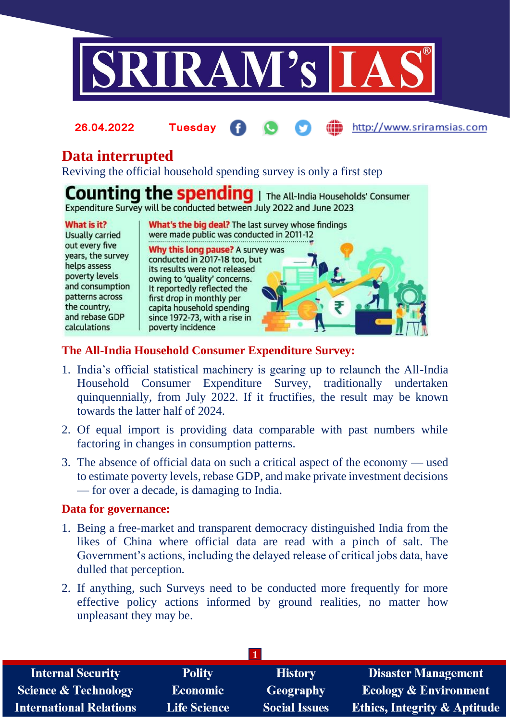

#### http://www.sriramsias.com **26.04.2022 Tuesday**

# **Data interrupted**

Reviving the official household spending survey is only a first step

**Counting the spending** | The All-India Households' Consumer Expenditure Survey will be conducted between July 2022 and June 2023

#### What is it?

**Usually carried** out every five years, the survey helps assess poverty levels and consumption patterns across the country. and rebase GDP calculations

What's the big deal? The last survey whose findings were made public was conducted in 2011-12

Why this long pause? A survey was conducted in 2017-18 too, but its results were not released owing to 'quality' concerns. It reportedly reflected the first drop in monthly per capita household spending since 1972-73, with a rise in poverty incidence

### **The All-India Household Consumer Expenditure Survey:**

- 1. India's official statistical machinery is gearing up to relaunch the All-India Household Consumer Expenditure Survey, traditionally undertaken quinquennially, from July 2022. If it fructifies, the result may be known towards the latter half of 2024.
- 2. Of equal import is providing data comparable with past numbers while factoring in changes in consumption patterns.
- 3. The absence of official data on such a critical aspect of the economy used to estimate poverty levels, rebase GDP, and make private investment decisions — for over a decade, is damaging to India.

#### **Data for governance:**

- 1. Being a free-market and transparent democracy distinguished India from the likes of China where official data are read with a pinch of salt. The Government's actions, including the delayed release of critical jobs data, have dulled that perception.
- 2. If anything, such Surveys need to be conducted more frequently for more effective policy actions informed by ground realities, no matter how unpleasant they may be.

| <b>Internal Security</b>        | <b>Polity</b>       | <b>History</b>       | <b>Disaster Management</b>              |
|---------------------------------|---------------------|----------------------|-----------------------------------------|
| <b>Science &amp; Technology</b> | <b>Economic</b>     | <b>Geography</b>     | <b>Ecology &amp; Environment</b>        |
| <b>International Relations</b>  | <b>Life Science</b> | <b>Social Issues</b> | <b>Ethics, Integrity &amp; Aptitude</b> |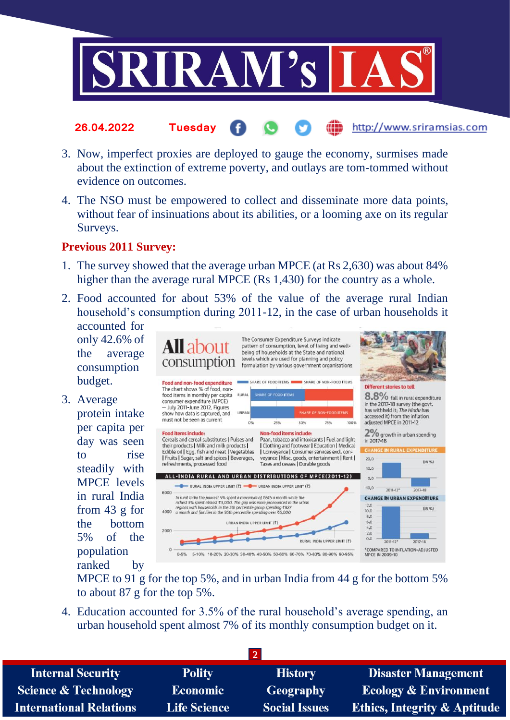

- http://www.sriramsias.com **26.04.2022 Tuesday**
- 3. Now, imperfect proxies are deployed to gauge the economy, surmises made about the extinction of extreme poverty, and outlays are tom-tommed without evidence on outcomes.
- 4. The NSO must be empowered to collect and disseminate more data points, without fear of insinuations about its abilities, or a looming axe on its regular Surveys.

#### **Previous 2011 Survey:**

- 1. The survey showed that the average urban MPCE (at Rs 2,630) was about 84% higher than the average rural MPCE (Rs 1,430) for the country as a whole.
- 2. Food accounted for about 53% of the value of the average rural Indian household's consumption during 2011-12, in the case of urban households it

accounted for only 42.6% of the average consumption budget.

3. Average protein intake per capita per day was seen to rise steadily with MPCE levels in rural India from 43 g for the bottom 5% of the population ranked by



MPCE to 91 g for the top 5%, and in urban India from 44 g for the bottom 5% to about 87 g for the top 5%.

4. Education accounted for 3.5% of the rural household's average spending, an urban household spent almost 7% of its monthly consumption budget on it.

| <b>Internal Security</b>        | <b>Polity</b>       | <b>History</b>       | <b>Disaster Management</b>              |
|---------------------------------|---------------------|----------------------|-----------------------------------------|
| <b>Science &amp; Technology</b> | <b>Economic</b>     | <b>Geography</b>     | <b>Ecology &amp; Environment</b>        |
| <b>International Relations</b>  | <b>Life Science</b> | <b>Social Issues</b> | <b>Ethics, Integrity &amp; Aptitude</b> |
|                                 |                     |                      |                                         |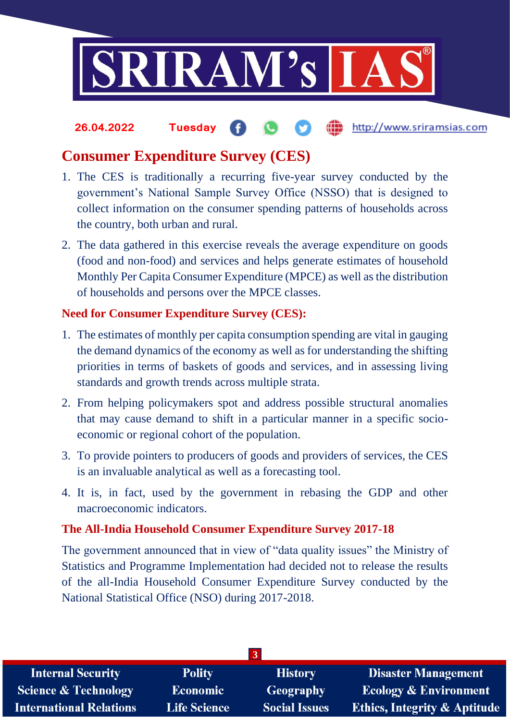

#### the http://www.sriramsias.com **26.04.2022 Tuesday**

## **Consumer Expenditure Survey (CES)**

- 1. The CES is traditionally a recurring five-year survey conducted by the government's National Sample Survey Office (NSSO) that is designed to collect information on the consumer spending patterns of households across the country, both urban and rural.
- 2. The data gathered in this exercise reveals the average expenditure on goods (food and non-food) and services and helps generate estimates of household Monthly Per Capita Consumer Expenditure (MPCE) as well as the distribution of households and persons over the MPCE classes.

## **Need for Consumer Expenditure Survey (CES):**

- 1. The estimates of monthly per capita consumption spending are vital in gauging the demand dynamics of the economy as well as for understanding the shifting priorities in terms of baskets of goods and services, and in assessing living standards and growth trends across multiple strata.
- 2. From helping policymakers spot and address possible structural anomalies that may cause demand to shift in a particular manner in a specific socioeconomic or regional cohort of the population.
- 3. To provide pointers to producers of goods and providers of services, the CES is an invaluable analytical as well as a forecasting tool.
- 4. It is, in fact, used by the government in rebasing the GDP and other macroeconomic indicators.

### **The All-India Household Consumer Expenditure Survey 2017-18**

The government announced that in view of "data quality issues" the Ministry of Statistics and Programme Implementation had decided not to release the results of the all-India Household Consumer Expenditure Survey conducted by the National Statistical Office (NSO) during 2017-2018.

| $\vert 3 \vert$                 |                     |                      |                                         |
|---------------------------------|---------------------|----------------------|-----------------------------------------|
| <b>Internal Security</b>        | <b>Polity</b>       | <b>History</b>       | <b>Disaster Management</b>              |
| <b>Science &amp; Technology</b> | <b>Economic</b>     | <b>Geography</b>     | <b>Ecology &amp; Environment</b>        |
| <b>International Relations</b>  | <b>Life Science</b> | <b>Social Issues</b> | <b>Ethics, Integrity &amp; Aptitude</b> |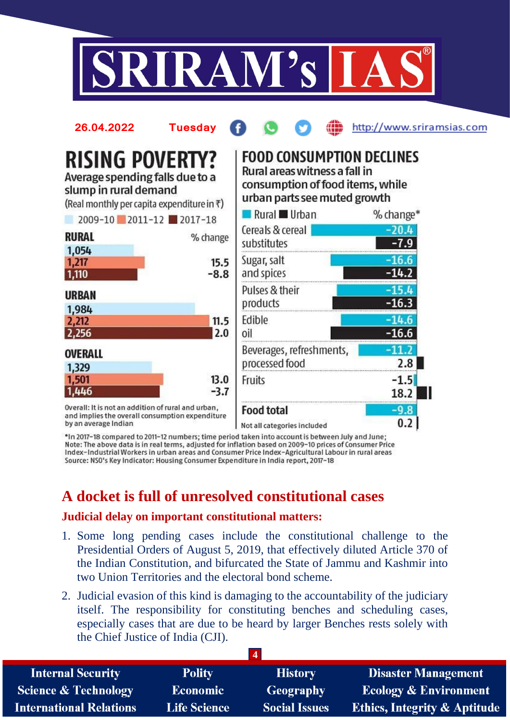



\*In 2017-18 compared to 2011-12 numbers; time period taken into account is between July and June; Note: The above data is in real terms, adjusted for inflation based on 2009-10 prices of Consumer Price Index-Industrial Workers in urban areas and Consumer Price Index-Agricultural Labour in rural areas Source: NSO's Key Indicator: Housing Consumer Expenditure in India report, 2017-18

# **A docket is full of unresolved constitutional cases**

#### **Judicial delay on important constitutional matters:**

- 1. Some long pending cases include the constitutional challenge to the Presidential Orders of August 5, 2019, that effectively diluted Article 370 of the Indian Constitution, and bifurcated the State of Jammu and Kashmir into two Union Territories and the electoral bond scheme.
- 2. Judicial evasion of this kind is damaging to the accountability of the judiciary itself. The responsibility for constituting benches and scheduling cases, especially cases that are due to be heard by larger Benches rests solely with the Chief Justice of India (CJI).

| <b>Internal Security</b>        | <b>Polity</b>       | <b>History</b>       | <b>Disaster Management</b>              |
|---------------------------------|---------------------|----------------------|-----------------------------------------|
| <b>Science &amp; Technology</b> | <b>Economic</b>     | Geography            | <b>Ecology &amp; Environment</b>        |
| <b>International Relations</b>  | <b>Life Science</b> | <b>Social Issues</b> | <b>Ethics, Integrity &amp; Aptitude</b> |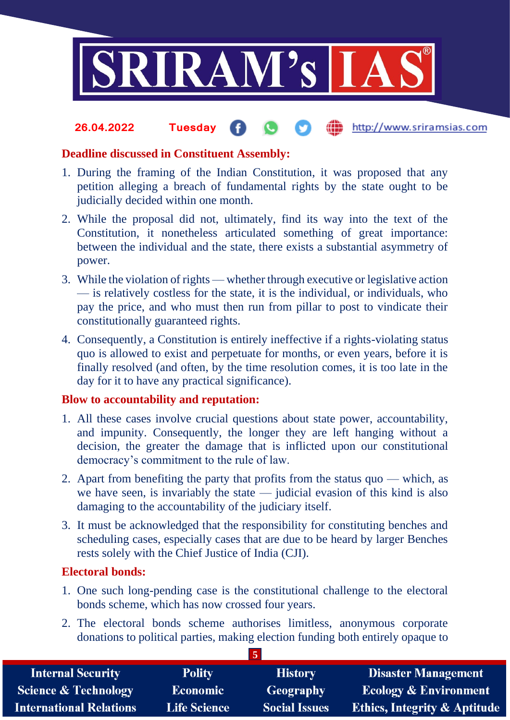

#### **fin** http://www.sriramsias.com **26.04.2022 Tuesday**

### **Deadline discussed in Constituent Assembly:**

- 1. During the framing of the Indian Constitution, it was proposed that any petition alleging a breach of fundamental rights by the state ought to be judicially decided within one month.
- 2. While the proposal did not, ultimately, find its way into the text of the Constitution, it nonetheless articulated something of great importance: between the individual and the state, there exists a substantial asymmetry of power.
- 3. While the violation of rights whether through executive or legislative action — is relatively costless for the state, it is the individual, or individuals, who pay the price, and who must then run from pillar to post to vindicate their constitutionally guaranteed rights.
- 4. Consequently, a Constitution is entirely ineffective if a rights-violating status quo is allowed to exist and perpetuate for months, or even years, before it is finally resolved (and often, by the time resolution comes, it is too late in the day for it to have any practical significance).

### **Blow to accountability and reputation:**

- 1. All these cases involve crucial questions about state power, accountability, and impunity. Consequently, the longer they are left hanging without a decision, the greater the damage that is inflicted upon our constitutional democracy's commitment to the rule of law.
- 2. Apart from benefiting the party that profits from the status quo which, as we have seen, is invariably the state — judicial evasion of this kind is also damaging to the accountability of the judiciary itself.
- 3. It must be acknowledged that the responsibility for constituting benches and scheduling cases, especially cases that are due to be heard by larger Benches rests solely with the Chief Justice of India (CJI).

### **Electoral bonds:**

- 1. One such long-pending case is the constitutional challenge to the electoral bonds scheme, which has now crossed four years.
- 2. The electoral bonds scheme authorises limitless, anonymous corporate donations to political parties, making election funding both entirely opaque to

**5**

| <b>Internal Security</b>        | <b>Polity</b>       | <b>History</b>       | <b>Disaster Management</b>              |
|---------------------------------|---------------------|----------------------|-----------------------------------------|
| <b>Science &amp; Technology</b> | <b>Economic</b>     | Geography            | Ecology & Environment                   |
| <b>International Relations</b>  | <b>Life Science</b> | <b>Social Issues</b> | <b>Ethics, Integrity &amp; Aptitude</b> |